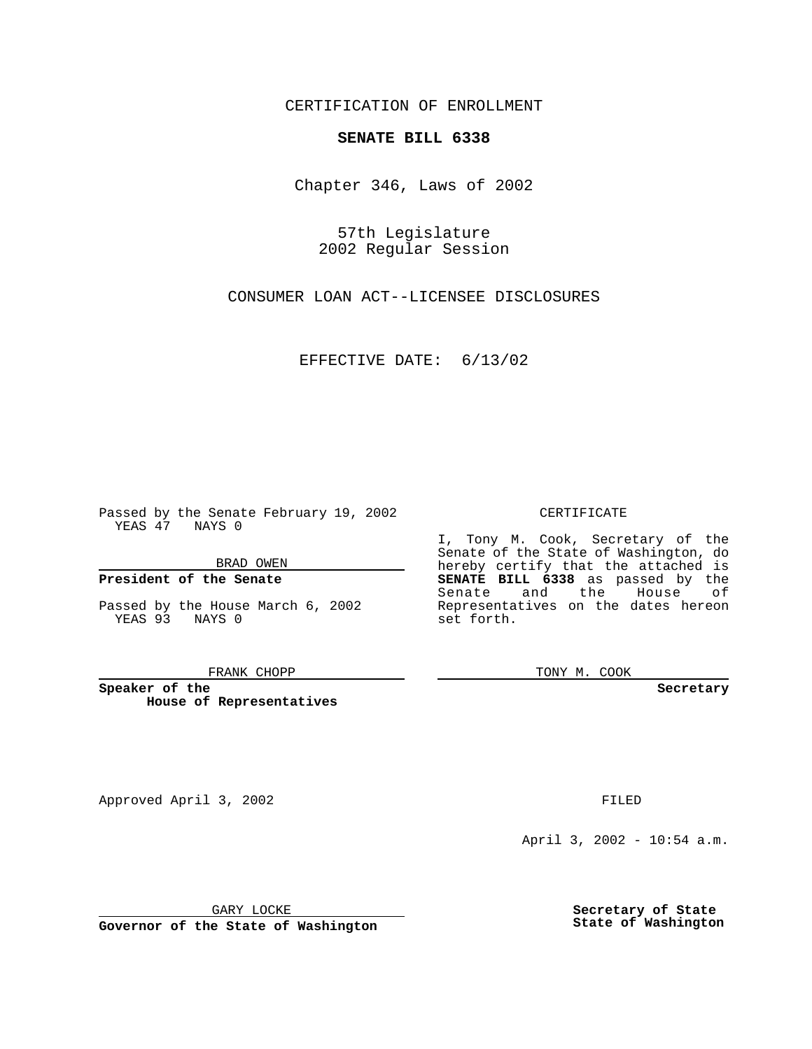CERTIFICATION OF ENROLLMENT

## **SENATE BILL 6338**

Chapter 346, Laws of 2002

57th Legislature 2002 Regular Session

CONSUMER LOAN ACT--LICENSEE DISCLOSURES

EFFECTIVE DATE: 6/13/02

Passed by the Senate February 19, 2002 YEAS 47 NAYS 0

BRAD OWEN

### **President of the Senate**

Passed by the House March 6, 2002 YEAS 93 NAYS 0

#### FRANK CHOPP

**Speaker of the House of Representatives**

Approved April 3, 2002 **FILED** 

April 3, 2002 - 10:54 a.m.

GARY LOCKE

**Governor of the State of Washington**

**Secretary of State State of Washington**

### CERTIFICATE

I, Tony M. Cook, Secretary of the Senate of the State of Washington, do hereby certify that the attached is **SENATE BILL 6338** as passed by the Senate and the House of Representatives on the dates hereon set forth.

TONY M. COOK

**Secretary**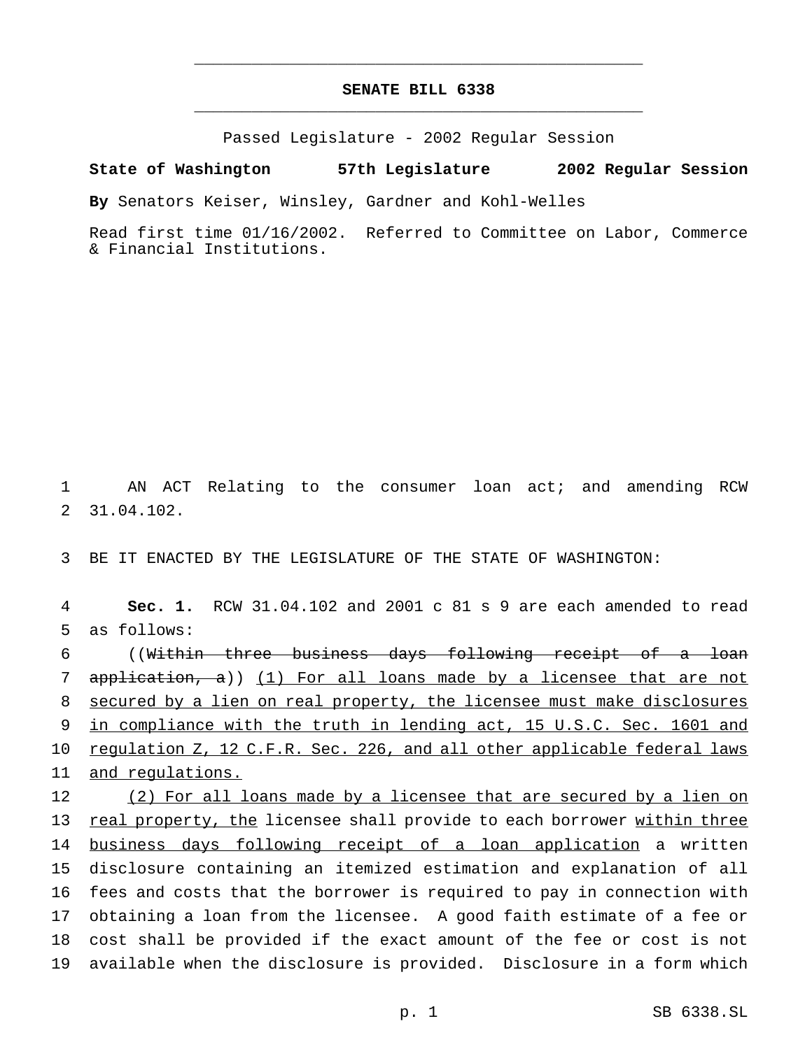# **SENATE BILL 6338** \_\_\_\_\_\_\_\_\_\_\_\_\_\_\_\_\_\_\_\_\_\_\_\_\_\_\_\_\_\_\_\_\_\_\_\_\_\_\_\_\_\_\_\_\_\_\_

\_\_\_\_\_\_\_\_\_\_\_\_\_\_\_\_\_\_\_\_\_\_\_\_\_\_\_\_\_\_\_\_\_\_\_\_\_\_\_\_\_\_\_\_\_\_\_

Passed Legislature - 2002 Regular Session

### **State of Washington 57th Legislature 2002 Regular Session**

**By** Senators Keiser, Winsley, Gardner and Kohl-Welles

Read first time 01/16/2002. Referred to Committee on Labor, Commerce & Financial Institutions.

1 AN ACT Relating to the consumer loan act; and amending RCW 2 31.04.102.

3 BE IT ENACTED BY THE LEGISLATURE OF THE STATE OF WASHINGTON:

4 **Sec. 1.** RCW 31.04.102 and 2001 c 81 s 9 are each amended to read 5 as follows:

 ((Within three business days following receipt of a loan application, a)) (1) For all loans made by a licensee that are not secured by a lien on real property, the licensee must make disclosures in compliance with the truth in lending act, 15 U.S.C. Sec. 1601 and 10 regulation Z, 12 C.F.R. Sec. 226, and all other applicable federal laws and regulations.

 (2) For all loans made by a licensee that are secured by a lien on 13 real property, the licensee shall provide to each borrower within three 14 business days following receipt of a loan application a written disclosure containing an itemized estimation and explanation of all fees and costs that the borrower is required to pay in connection with obtaining a loan from the licensee. A good faith estimate of a fee or cost shall be provided if the exact amount of the fee or cost is not available when the disclosure is provided. Disclosure in a form which